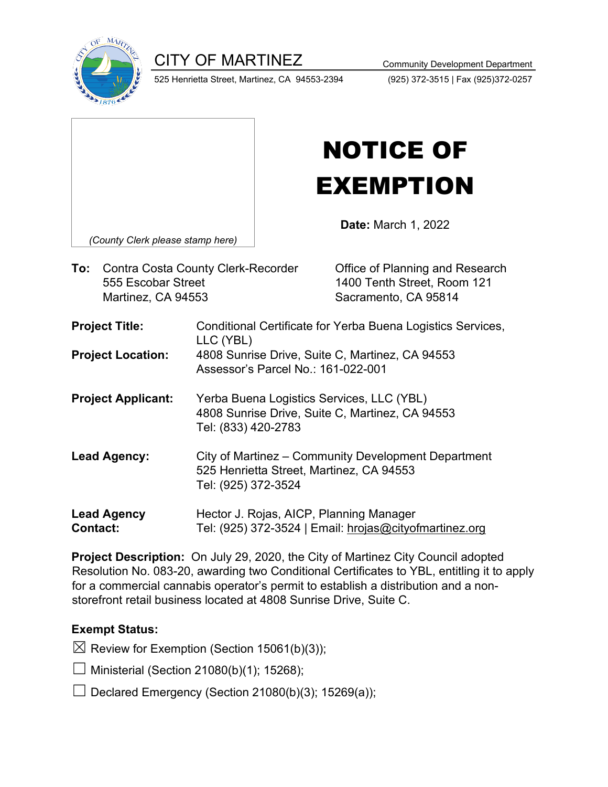CITY OF MARTINEZ Community Development Department



525 Henrietta Street, Martinez, CA 94553-2394 (925) 372-3515 | Fax (925)372-0257

| (County Clerk please stamp here) |
|----------------------------------|
|                                  |
|                                  |

## NOTICE OF EXEMPTION

**Date:** March 1, 2022

**To:** Contra Costa County Clerk-Recorder 555 Escobar Street Martinez, CA 94553

Office of Planning and Research 1400 Tenth Street, Room 121 Sacramento, CA 95814

- **Project Title:** Conditional Certificate for Yerba Buena Logistics Services, LLC (YBL) **Project Location:** 4808 Sunrise Drive, Suite C, Martinez, CA 94553 Assessor's Parcel No.: 161-022-001 **Project Applicant:** Yerba Buena Logistics Services, LLC (YBL) 4808 Sunrise Drive, Suite C, Martinez, CA 94553 Tel: (833) 420-2783 **Lead Agency:** City of Martinez – Community Development Department 525 Henrietta Street, Martinez, CA 94553
- Tel: (925) 372-3524 **Lead Agency**  Hector J. Rojas, AICP, Planning Manager
- **Contact:** Tel: (925) 372-3524 | Email: [hrojas@cityofmartinez.org](mailto:hrojas@cityofmartinez.org)

**Project Description:** On July 29, 2020, the City of Martinez City Council adopted Resolution No. 083-20, awarding two Conditional Certificates to YBL, entitling it to apply for a commercial cannabis operator's permit to establish a distribution and a nonstorefront retail business located at 4808 Sunrise Drive, Suite C.

## **Exempt Status:**

 $\boxtimes$  Review for Exemption (Section 15061(b)(3));

 $\Box$  Ministerial (Section 21080(b)(1); 15268);

 $□$  Declared Emergency (Section 21080(b)(3); 15269(a));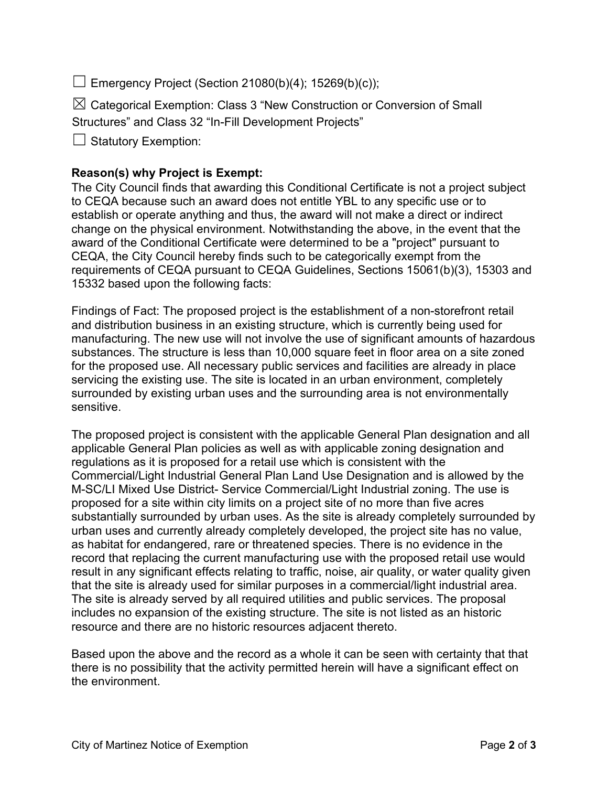$\Box$  Emergency Project (Section 21080(b)(4); 15269(b)(c));

 $\boxtimes$  Categorical Exemption: Class 3 "New Construction or Conversion of Small Structures" and Class 32 "In-Fill Development Projects"

 $\Box$  Statutory Exemption:

## **Reason(s) why Project is Exempt:**

The City Council finds that awarding this Conditional Certificate is not a project subject to CEQA because such an award does not entitle YBL to any specific use or to establish or operate anything and thus, the award will not make a direct or indirect change on the physical environment. Notwithstanding the above, in the event that the award of the Conditional Certificate were determined to be a "project" pursuant to CEQA, the City Council hereby finds such to be categorically exempt from the requirements of CEQA pursuant to CEQA Guidelines, Sections 15061(b)(3), 15303 and 15332 based upon the following facts:

Findings of Fact: The proposed project is the establishment of a non-storefront retail and distribution business in an existing structure, which is currently being used for manufacturing. The new use will not involve the use of significant amounts of hazardous substances. The structure is less than 10,000 square feet in floor area on a site zoned for the proposed use. All necessary public services and facilities are already in place servicing the existing use. The site is located in an urban environment, completely surrounded by existing urban uses and the surrounding area is not environmentally sensitive.

The proposed project is consistent with the applicable General Plan designation and all applicable General Plan policies as well as with applicable zoning designation and regulations as it is proposed for a retail use which is consistent with the Commercial/Light Industrial General Plan Land Use Designation and is allowed by the M-SC/LI Mixed Use District- Service Commercial/Light Industrial zoning. The use is proposed for a site within city limits on a project site of no more than five acres substantially surrounded by urban uses. As the site is already completely surrounded by urban uses and currently already completely developed, the project site has no value, as habitat for endangered, rare or threatened species. There is no evidence in the record that replacing the current manufacturing use with the proposed retail use would result in any significant effects relating to traffic, noise, air quality, or water quality given that the site is already used for similar purposes in a commercial/light industrial area. The site is already served by all required utilities and public services. The proposal includes no expansion of the existing structure. The site is not listed as an historic resource and there are no historic resources adjacent thereto.

Based upon the above and the record as a whole it can be seen with certainty that that there is no possibility that the activity permitted herein will have a significant effect on the environment.